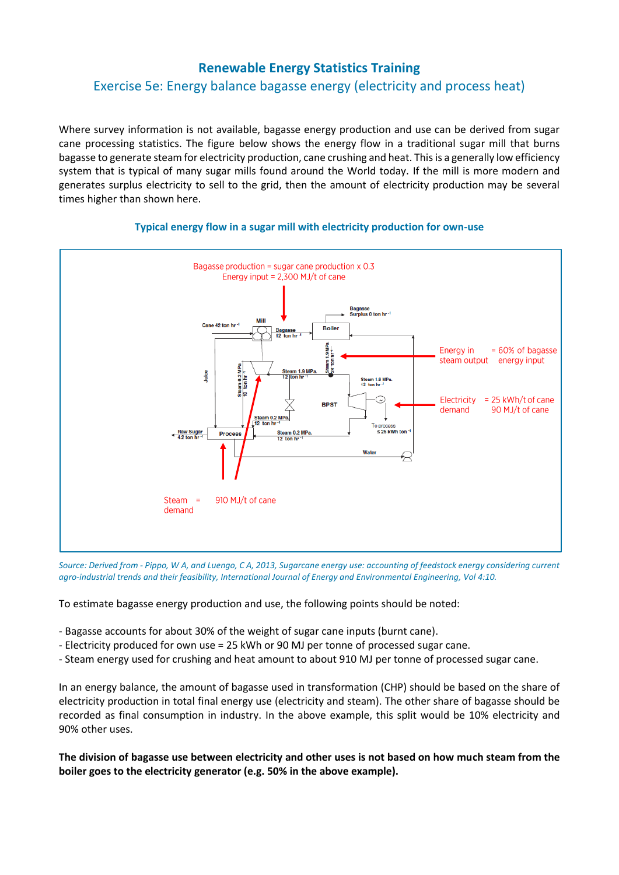## **Renewable Energy Statistics Training**

# Exercise 5e: Energy balance bagasse energy (electricity and process heat)

Where survey information is not available, bagasse energy production and use can be derived from sugar cane processing statistics. The figure below shows the energy flow in a traditional sugar mill that burns bagasse to generate steam for electricity production, cane crushing and heat. This is a generally low efficiency system that is typical of many sugar mills found around the World today. If the mill is more modern and generates surplus electricity to sell to the grid, then the amount of electricity production may be several times higher than shown here.



#### **Typical energy flow in a sugar mill with electricity production for own-use**

*Source: Derived from - Pippo, W A, and Luengo, C A, 2013, Sugarcane energy use: accounting of feedstock energy considering current agro-industrial trends and their feasibility, International Journal of Energy and Environmental Engineering, Vol 4:10.*

To estimate bagasse energy production and use, the following points should be noted:

- Bagasse accounts for about 30% of the weight of sugar cane inputs (burnt cane).
- Electricity produced for own use = 25 kWh or 90 MJ per tonne of processed sugar cane.
- Steam energy used for crushing and heat amount to about 910 MJ per tonne of processed sugar cane.

In an energy balance, the amount of bagasse used in transformation (CHP) should be based on the share of electricity production in total final energy use (electricity and steam). The other share of bagasse should be recorded as final consumption in industry. In the above example, this split would be 10% electricity and 90% other uses.

**The division of bagasse use between electricity and other uses is not based on how much steam from the boiler goes to the electricity generator (e.g. 50% in the above example).**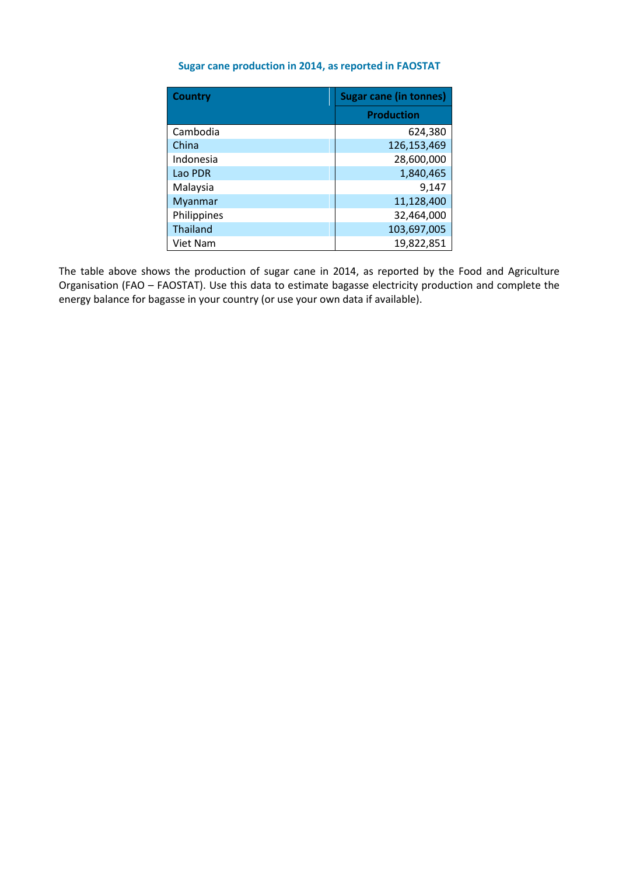### **Sugar cane production in 2014, as reported in FAOSTAT**

| <b>Country</b> | <b>Sugar cane (in tonnes)</b> |  |  |
|----------------|-------------------------------|--|--|
|                | <b>Production</b>             |  |  |
| Cambodia       | 624,380                       |  |  |
| China          | 126,153,469                   |  |  |
| Indonesia      | 28,600,000                    |  |  |
| Lao PDR        | 1,840,465                     |  |  |
| Malaysia       | 9,147                         |  |  |
| Myanmar        | 11,128,400                    |  |  |
| Philippines    | 32,464,000                    |  |  |
| Thailand       | 103,697,005                   |  |  |
| Viet Nam       | 19,822,851                    |  |  |

The table above shows the production of sugar cane in 2014, as reported by the Food and Agriculture Organisation (FAO – FAOSTAT). Use this data to estimate bagasse electricity production and complete the energy balance for bagasse in your country (or use your own data if available).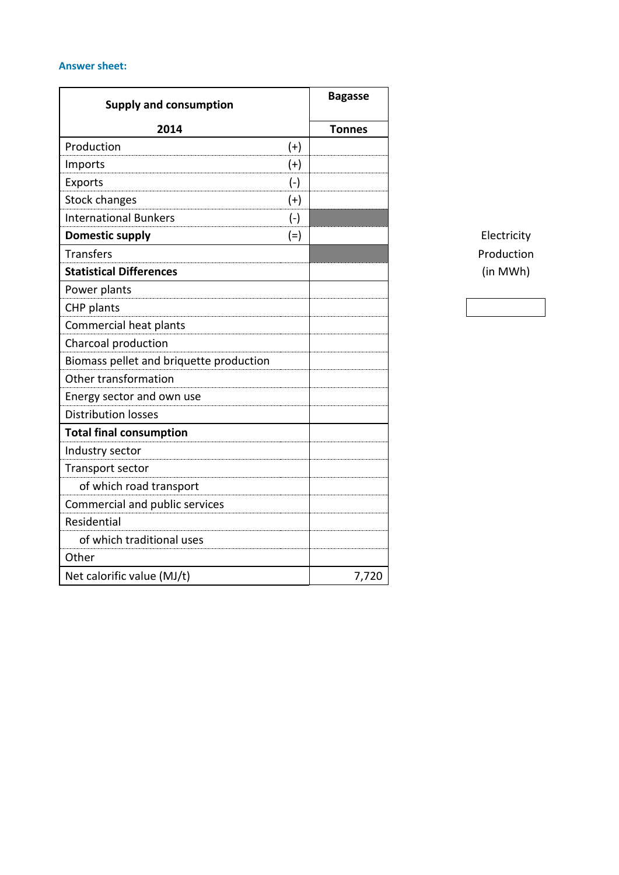## **Answer sheet:**

| <b>Supply and consumption</b>           | <b>Bagasse</b> |
|-----------------------------------------|----------------|
| 2014                                    | <b>Tonnes</b>  |
| Production<br>$(+)$                     |                |
| Imports<br>$^{(+)}$                     |                |
| Exports<br>$(-)$                        |                |
| <b>Stock changes</b><br>$^{(+)}$        |                |
| <b>International Bunkers</b><br>$(-)$   |                |
| <b>Domestic supply</b><br>$(=)$         |                |
| <b>Transfers</b>                        |                |
| <b>Statistical Differences</b>          |                |
| Power plants                            |                |
| CHP plants                              |                |
| Commercial heat plants                  |                |
| Charcoal production                     |                |
| Biomass pellet and briquette production |                |
| Other transformation                    |                |
| Energy sector and own use               |                |
| <b>Distribution losses</b>              |                |
| <b>Total final consumption</b>          |                |
| Industry sector                         |                |
| Transport sector                        |                |
| of which road transport                 |                |
| Commercial and public services          |                |
| Residential                             |                |
| of which traditional uses               |                |
| Other                                   |                |
| Net calorific value (MJ/t)              | 7,720          |

**Electricity** Production **Statistical Differences** (in MWh)